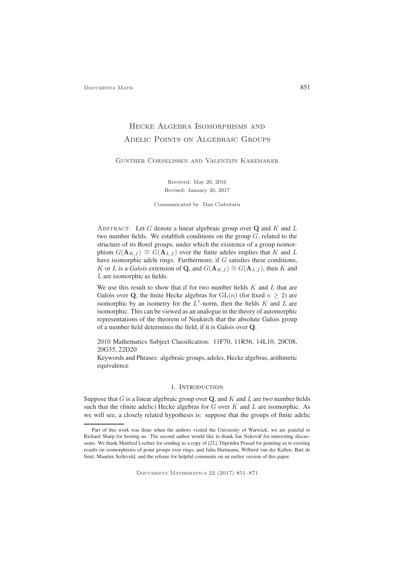# Hecke Algebra Isomorphisms and Adelic Points on Algebraic Groups

#### Gunther Cornelissen and Valentijn Karemaker

Received: May 20, 2016 Revised: January 20, 2017

Communicated by Dan Ciubotaru

ABSTRACT. Let G denote a linear algebraic group over  $Q$  and K and L two number fields. We establish conditions on the group  $G$ , related to the structure of its Borel groups, under which the existence of a group isomorphism  $G(\mathbf{A}_{K,f}) \cong G(\mathbf{A}_{L,f})$  over the finite adeles implies that K and L have isomorphic adele rings. Furthermore, if G satisfies these conditions, K or L is a *Galois* extension of Q, and  $G(\mathbf{A}_{K,f}) \cong G(\mathbf{A}_{L,f})$ , then K and L are isomorphic as fields.

We use this result to show that if for two number fields  $K$  and  $L$  that are Galois over Q, the finite Hecke algebras for  $GL(n)$  (for fixed  $n \geq 2$ ) are isomorphic by an isometry for the  $L^1$ -norm, then the fields K and L are isomorphic. This can be viewed as an analogue in the theory of automorphic representations of the theorem of Neukirch that the absolute Galois group of a number field determines the field, if it is Galois over Q.

2010 Mathematics Subject Classification: 11F70, 11R56, 14L10, 20C08, 20G35, 22D20

Keywords and Phrases: algebraic groups, adeles, Hecke algebras, arithmetic equivalence

#### 1. INTRODUCTION

Suppose that  $G$  is a linear algebraic group over  $Q$ , and  $K$  and  $L$  are two number fields such that the (finite adelic) Hecke algebras for  $G$  over  $K$  and  $L$  are isomorphic. As we will see, a closely related hypothesis is: suppose that the groups of finite adelic

Part of this work was done when the authors visited the University of Warwick; we are grateful to Richard Sharp for hosting us. The second author would like to thank Jan Nekovář for interesting discussions. We thank Manfred Lochter for sending us a copy of [21], Dipendra Prasad for pointing us to existing results on isomorphisms of point groups over rings, and Julia Hartmann, Wilberd van der Kallen, Bart de Smit, Maarten Solleveld, and the referee for helpful comments on an earlier version of this paper.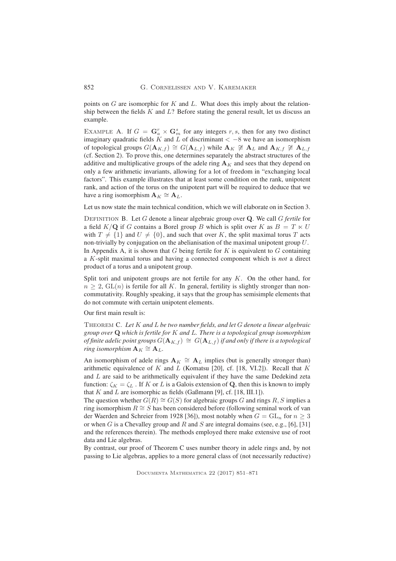852 G. Cornelissen and V. Karemaker

points on  $G$  are isomorphic for  $K$  and  $L$ . What does this imply about the relationship between the fields  $K$  and  $L$ ? Before stating the general result, let us discuss an example.

EXAMPLE A. If  $G = \mathbf{G}_a^r \times \mathbf{G}_m^s$  for any integers r, s, then for any two distinct imaginary quadratic fields K and L of discriminant  $<-8$  we have an isomorphism of topological groups  $G(\mathbf{A}_{K,f}) \cong G(\mathbf{A}_{L,f})$  while  $\mathbf{A}_{K} \not\cong \mathbf{A}_{L}$  and  $\mathbf{A}_{K,f} \not\cong \mathbf{A}_{L,f}$ (cf. Section 2). To prove this, one determines separately the abstract structures of the additive and multiplicative groups of the adele ring  $A_K$  and sees that they depend on only a few arithmetic invariants, allowing for a lot of freedom in "exchanging local factors". This example illustrates that at least some condition on the rank, unipotent rank, and action of the torus on the unipotent part will be required to deduce that we have a ring isomorphism  $\mathbf{A}_K \cong \mathbf{A}_L$ .

Let us now state the main technical condition, which we will elaborate on in Section 3.

Definition B. Let G denote a linear algebraic group over Q. We call G *fertile* for a field  $K/\mathbf{Q}$  if G contains a Borel group B which is split over K as  $B = T \ltimes U$ with  $T \neq \{1\}$  and  $U \neq \{0\}$ , and such that over K, the split maximal torus T acts non-trivially by conjugation on the abelianisation of the maximal unipotent group U. In Appendix A, it is shown that  $G$  being fertile for  $K$  is equivalent to  $G$  containing a K-split maximal torus and having a connected component which is *not* a direct product of a torus and a unipotent group.

Split tori and unipotent groups are not fertile for any  $K$ . On the other hand, for  $n > 2$ ,  $GL(n)$  is fertile for all K. In general, fertility is slightly stronger than noncommutativity. Roughly speaking, it says that the group has semisimple elements that do not commute with certain unipotent elements.

Our first main result is:

Theorem C. *Let* K *and* L *be two number fields, and let* G *denote a linear algebraic group over* Q *which is fertile for* K *and* L*. There is a topological group isomorphism of finite adelic point groups*  $G(\mathbf{A}_{K,f}) \cong G(\mathbf{A}_{L,f})$  *if and only if there is a topological ring isomorphism*  $\mathbf{A}_K \cong \mathbf{A}_L$ .

An isomorphism of adele rings  $A_K \cong A_L$  implies (but is generally stronger than) arithmetic equivalence of  $K$  and  $L$  (Komatsu [20], cf. [18, VI.2]). Recall that  $K$ and L are said to be arithmetically equivalent if they have the same Dedekind zeta function:  $\zeta_K = \zeta_L$ . If K or L is a Galois extension of Q, then this is known to imply that  $K$  and  $L$  are isomorphic as fields (Gaßmann [9], cf. [18, III.1]).

The question whether  $G(R) \cong G(S)$  for algebraic groups G and rings R, S implies a ring isomorphism  $R \cong S$  has been considered before (following seminal work of van der Waerden and Schreier from 1928 [36]), most notably when  $G = GL_n$  for  $n \geq 3$ or when G is a Chevalley group and R and S are integral domains (see, e.g., [6], [31] and the references therein). The methods employed there make extensive use of root data and Lie algebras.

By contrast, our proof of Theorem C uses number theory in adele rings and, by not passing to Lie algebras, applies to a more general class of (not necessarily reductive)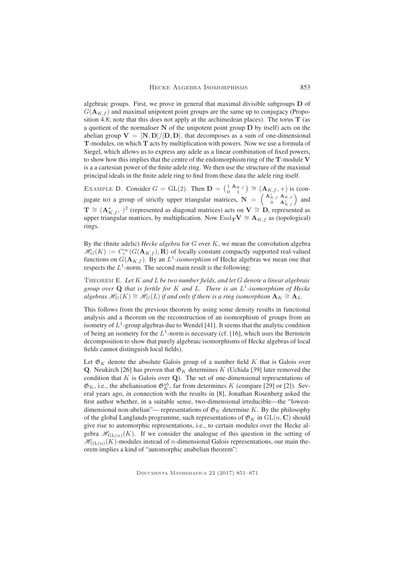algebraic groups. First, we prove in general that maximal divisible subgroups  **of**  $G(\mathbf{A}_{K,f})$  and maximal unipotent point groups are the same up to conjugacy (Proposition 4.8; note that this does not apply at the archimedean places). The torus  $T$  (as a quotient of the normaliser N of the unipotent point group D by itself) acts on the abelian group  $V = [N, D]/[D, D]$ , that decomposes as a sum of one-dimensional T-modules, on which T acts by multiplication with powers. Now we use a formula of Siegel, which allows us to express any adele as a linear combination of fixed powers, to show how this implies that the centre of the endomorphism ring of the T-module V is a a cartesian power of the finite adele ring. We then use the structure of the maximal principal ideals in the finite adele ring to find from these data the adele ring itself.

EXAMPLE D. Consider  $G = GL(2)$ . Then  $\mathbf{D} = \begin{pmatrix} 1 & \mathbf{A}_{K,f} \\ 0 & 1 \end{pmatrix} \cong (\mathbf{A}_{K,f}, +)$  is (conjugate to) a group of strictly upper triangular matrices,  $\mathbf{N} = \begin{pmatrix} \mathbf{A}_{K,f}^{*} & \mathbf{A}_{K,f} \\ 0 & \mathbf{A}_{K,f}^{*} \end{pmatrix}$  and  $\mathbf{T} \cong (\mathbf{A}_{K,f}^*, \cdot)^2$  (represented as diagonal matrices) acts on  $\mathbf{V} \cong \mathbf{D}$ , represented as upper triangular matrices, by multiplication. Now End<sub>T</sub>V  $\cong$  **A**<sub>K,f</sub> as (topological) rings.

By the (finite adelic) *Hecke algebra* for G over K, we mean the convolution algebra  $\mathcal{H}_G(K) := C_c^{\infty}(G(\mathbf{A}_{K,f}), \mathbf{R})$  of locally constant compactly supported real-valued functions on  $G(\mathbf{A}_{K,f})$ . By an  $L^1$ -*isomorphism* of Hecke algebras we mean one that respects the  $L^1$ -norm. The second main result is the following:

Theorem E. *Let* K *and* L *be two number fields, and let* G *denote a linear algebraic group over* Q *that is fertile for* K *and* L*. There is an* L 1 *-isomorphism of Hecke*  $algebras \mathscr{H}_G(K) \cong \mathscr{H}_G(L)$  *if and only if there is a ring isomorphism*  $\mathbf{A}_K \cong \mathbf{A}_L$ .

This follows from the previous theorem by using some density results in functional analysis and a theorem on the reconstruction of an isomorphism of groups from an isometry of  $L^1$ -group algebras due to Wendel [41]. It seems that the analytic condition of being an isometry for the  $L^1$ -norm is necessary (cf. [16], which uses the Bernstein decomposition to show that purely algebraic isomorphisms of Hecke algebras of local fields cannot distinguish local fields).

Let  $\mathfrak{G}_K$  denote the absolute Galois group of a number field K that is Galois over **Q**. Neukirch [26] has proven that  $\mathfrak{G}_K$  determines K (Uchida [39] later removed the condition that  $K$  is Galois over  $Q$ ). The set of one-dimensional representations of  $\mathfrak{G}_K$ , i.e., the abelianisation  $\mathfrak{G}_K^{\text{ab}}$ , far from determines K (compare [29] or [2]). Several years ago, in connection with the results in [8], Jonathan Rosenberg asked the first author whether, in a suitable sense, two-dimensional irreducible—the "lowestdimensional non-abelian"— representations of  $\mathfrak{G}_K$  determine K. By the philosophy of the global Langlands programme, such representations of  $\mathfrak{G}_K$  in  $GL(n, \mathbb{C})$  should give rise to automorphic representations, i.e., to certain modules over the Hecke algebra  $\mathcal{H}_{GL(n)}(K)$ . If we consider the analogue of this question in the setting of  $\mathcal{H}_{GL(n)}(K)$ -modules instead of *n*-dimensional Galois representations, our main theorem implies a kind of "automorphic anabelian theorem":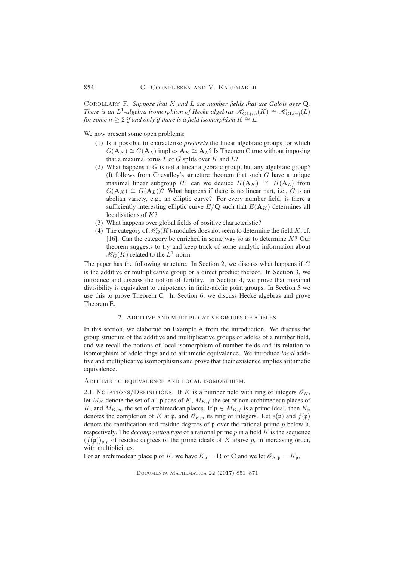Corollary F. *Suppose that* K *and* L *are number fields that are Galois over* Q*. There is an L*<sup>1</sup>-algebra isomorphism of Hecke algebras  $\mathscr{H}_{\text{GL}(n)}(K) \cong \mathscr{H}_{\text{GL}(n)}(L)$ *for some*  $n \geq 2$  *if and only if there is a field isomorphism*  $K \cong L$ *.* 

We now present some open problems:

- (1) Is it possible to characterise *precisely* the linear algebraic groups for which  $G(\mathbf{A}_K) \cong G(\mathbf{A}_L)$  implies  $\mathbf{A}_K \cong \mathbf{A}_L$ ? Is Theorem C true without imposing that a maximal torus  $T$  of  $G$  splits over  $K$  and  $L$ ?
- (2) What happens if  $G$  is not a linear algebraic group, but any algebraic group? (It follows from Chevalley's structure theorem that such  $G$  have a unique maximal linear subgroup H; can we deduce  $H(A_K) \cong H(A_L)$  from  $G(\mathbf{A}_K) \cong G(\mathbf{A}_L)$ ? What happens if there is no linear part, i.e., G is an abelian variety, e.g., an elliptic curve? For every number field, is there a sufficiently interesting elliptic curve  $E/\mathbf{Q}$  such that  $E(\mathbf{A}_K)$  determines all localisations of K?
- (3) What happens over global fields of positive characteristic?
- (4) The category of  $\mathcal{H}_G(K)$ -modules does not seem to determine the field K, cf. [16]. Can the category be enriched in some way so as to determine  $K$ ? Our theorem suggests to try and keep track of some analytic information about  $\mathcal{H}_G(K)$  related to the  $L^1$ -norm.

The paper has the following structure. In Section 2, we discuss what happens if G is the additive or multiplicative group or a direct product thereof. In Section 3, we introduce and discuss the notion of fertility. In Section 4, we prove that maximal divisibility is equivalent to unipotency in finite-adelic point groups. In Section 5 we use this to prove Theorem C. In Section 6, we discuss Hecke algebras and prove Theorem E.

## 2. ADDITIVE AND MULTIPLICATIVE GROUPS OF ADELES

In this section, we elaborate on Example A from the introduction. We discuss the group structure of the additive and multiplicative groups of adeles of a number field, and we recall the notions of local isomorphism of number fields and its relation to isomorphism of adele rings and to arithmetic equivalence. We introduce *local* additive and multiplicative isomorphisms and prove that their existence implies arithmetic equivalence.

Arithmetic equivalence and local isomorphism.

2.1. NOTATIONS/DEFINITIONS. If K is a number field with ring of integers  $\mathscr{O}_K$ , let  $M_K$  denote the set of all places of K,  $M_{K,f}$  the set of non-archimedean places of K, and  $M_{K,\infty}$  the set of archimedean places. If  $\mathfrak{p} \in M_{K,f}$  is a prime ideal, then  $K_{\mathfrak{p}}$ denotes the completion of K at p, and  $\mathcal{O}_{K,p}$  its ring of integers. Let  $e(\mathfrak{p})$  and  $f(\mathfrak{p})$ denote the ramification and residue degrees of  $\mathfrak p$  over the rational prime  $p$  below  $\mathfrak p$ , respectively. The *decomposition type* of a rational prime p in a field K is the sequence  $(f(\mathfrak{p}))_{\mathfrak{p}|p}$  of residue degrees of the prime ideals of K above p, in increasing order, with multiplicities.

For an archimedean place p of K, we have  $K_p = \mathbf{R}$  or C and we let  $\mathcal{O}_{K,p} = K_p$ .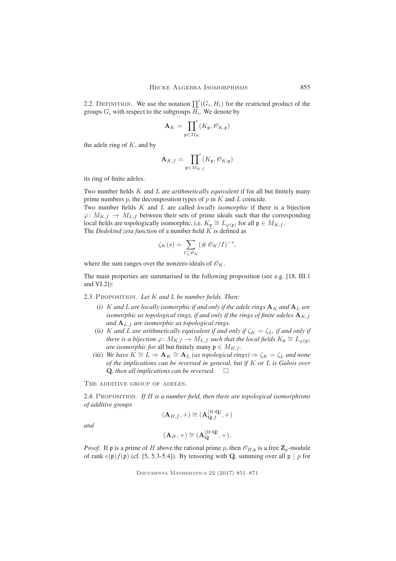2.2. DEFINITION. We use the notation  $\prod'(G_i, H_i)$  for the restricted product of the groups  $G_i$  with respect to the subgroups  $H_i$ . We denote by

$$
\mathbf{A}_K = \prod_{\mathfrak{p} \in M_K}^{\prime}(K_{\mathfrak{p}}, \mathscr{O}_{K, \mathfrak{p}})
$$

the adele ring of  $K$ , and by

$$
\mathbf{A}_{K,f} = \prod_{\mathfrak{p} \in M_{K,f}} (K_{\mathfrak{p}}, \mathscr{O}_{K,\mathfrak{p}})
$$

its ring of finite adeles.

Two number fields K and L are *arithmetically equivalent* if for all but finitely many prime numbers  $p$ , the decomposition types of  $p$  in  $K$  and  $L$  coincide. Two number fields K and L are called *locally isomorphic* if there is a bijection  $\varphi: M_{K,f} \to M_{L,f}$  between their sets of prime ideals such that the corresponding local fields are topologically isomorphic, i.e.  $K_{\mathfrak{p}} \cong L_{\varphi(\mathfrak{p})}$  for all  $\mathfrak{p} \in M_{K,f}$ .

The *Dedekind zeta function* of a number field K is defined as

$$
\zeta_K(s) = \sum_{I \subseteq \mathscr{O}_K} (\# \mathscr{O}_K/I)^{-s},
$$

where the sum ranges over the nonzero ideals of  $\mathcal{O}_K$ .

The main properties are summarised in the following proposition (see e.g. [18, III.1 and VI.2]):

2.3. Proposition. *Let* K *and* L *be number fields. Then:*

- (i) K and L are locally isomorphic if and only if the adele rings  $A_K$  and  $A_L$  are *isomorphic as topological rings, if and only if the rings of finite adeles*  $\mathbf{A}_{K,f}$ *and* AL,f *are isomorphic as topological rings.*
- (ii) K and L are arithmetically equivalent if and only if  $\zeta_K = \zeta_L$ , if and only if *there is a bijection*  $\varphi: M_{K,f} \to M_{L,f}$  *such that the local fields*  $K_{\mathfrak{p}} \cong L_{\varphi(\mathfrak{p})}$ *are isomorphic for* all but finitely many  $\mathfrak{p} \in M_{K,f}$ .
- (iii) *We have*  $K \cong L \Rightarrow A_K \cong A_L$  *(as topological rings)*  $\Rightarrow \zeta_K = \zeta_L$  *and none of the implications can be reversed in general, but if* K *or* L *is Galois over* Q, then all implications can be reversed.  $\square$

THE ADDITIVE GROUP OF ADELES.

2.4. Proposition. *If* H *is a number field, then there are topological isomorphisms of additive groups*

$$
(\mathbf{A}_{H,f},+)\cong(\mathbf{A}_{\mathbf{Q},f}^{[H:\mathbf{Q}]},+)
$$

*and*

$$
(\mathbf{A}_H, +) \cong (\mathbf{A}_{\mathbf{Q}}^{[H:\mathbf{Q}]}, +).
$$

*Proof.* If p is a prime of H above the rational prime p, then  $\mathcal{O}_{H,p}$  is a free  $\mathbb{Z}_p$ -module of rank  $e(\mathfrak{p})f(\mathfrak{p})$  (cf. [5, 5.3-5.4]). By tensoring with Q, summing over all  $\mathfrak{p} \mid p$  for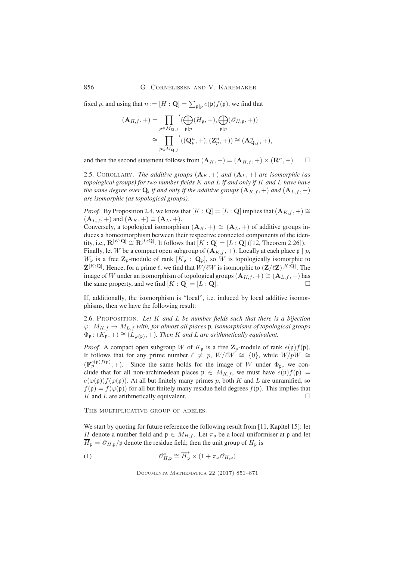856 G. Cornelissen and V. Karemaker

fixed p, and using that  $n := [H : \mathbf{Q}] = \sum_{\mathfrak{p} | p} e(\mathfrak{p}) f(\mathfrak{p})$ , we find that

$$
\begin{aligned} (\mathbf{A}_{H,f},+) &= \prod_{p \in M_{\mathbf{Q},f}} \bigl( \bigoplus_{\mathfrak{p} \mid p} (H_{\mathfrak{p}},+), \bigoplus_{\mathfrak{p} \mid p} (\mathscr{O}_{H,\mathfrak{p}},+) \bigr) \\ & \cong \prod_{p \in M_{\mathbf{Q},f}} \bigl( (\mathbf{Q}_{p}^{n},+),(\mathbf{Z}_{p}^{n},+)\bigr) \cong (\mathbf{A}_{\mathbf{Q},f}^{n},+), \end{aligned}
$$

and then the second statement follows from  $({\bf A}_H,+) = ({\bf A}_{H,f},+) \times ({\bf R}^n,+)$ .

2.5. COROLLARY. *The additive groups*  $(A_K, +)$  *and*  $(A_L, +)$  *are isomorphic (as topological groups) for two number fields* K *and* L *if and only if* K *and* L *have have the same degree over* **Q**, *if and only if the additive groups*  $(A_{K,f},+)$  *and*  $(A_{L,f},+)$ *are isomorphic (as topological groups).*

*Proof.* By Proposition 2.4, we know that  $[K : \mathbf{Q}] = [L : \mathbf{Q}]$  implies that  $(\mathbf{A}_{K,f}, +) \cong$  $(\mathbf{A}_{L,f},+)$  and  $(\mathbf{A}_K,+) \cong (\mathbf{A}_L,+)$ .

Conversely, a topological isomorphism  $(A_K,+) \cong (A_L,+)$  of additive groups induces a homeomorphism between their respective connected components of the identity, i.e.,  $\mathbf{R}^{[K:\mathbf{Q}]} \cong \mathbf{R}^{[L:\mathbf{Q}]}$ . It follows that  $[K:\mathbf{Q}] = [L:\mathbf{Q}]$  ([12, Theorem 2.26]).

Finally, let W be a compact open subgroup of  $(A_{K,f},+)$ . Locally at each place  $\mathfrak{p} \mid p$ ,  $W_{\mathfrak{p}}$  is a free  $\mathbf{Z}_p$ -module of rank  $[K_{\mathfrak{p}} : \mathbf{Q}_p]$ , so W is topologically isomorphic to  $\hat{\mathbf{Z}}^{[K:\mathbf{Q}]}$ . Hence, for a prime  $\ell$ , we find that  $W/\ell W$  is isomorphic to  $(\mathbf{Z}/\ell \mathbf{Z})^{[K:\mathbf{Q}]}$ . The image of W under an isomorphism of topological groups ( $\mathbf{A}_{K,f}$ , +)  $\cong$  ( $\mathbf{A}_{L,f}$ , +) has the same property, and we find  $[K : \mathbf{Q}] = [L : \mathbf{Q}].$ 

If, additionally, the isomorphism is "local", i.e. induced by local additive isomorphisms, then we have the following result:

2.6. Proposition. *Let* K *and* L *be number fields such that there is a bijection*  $\varphi \colon M_{K,f} \to M_{L,f}$  *with, for almost all places* **p***, isomorphisms of topological groups*  $\Phi_{\mathfrak{p}}$ :  $(K_{\mathfrak{p}}, +) \cong (L_{\varphi(\mathfrak{p})}, +)$ . Then K and L are arithmetically equivalent.

*Proof.* A compact open subgroup W of  $K_{\mathfrak{p}}$  is a free  $\mathbb{Z}_p$ -module of rank  $e(\mathfrak{p})f(\mathfrak{p})$ . It follows that for any prime number  $\ell \neq p$ ,  $W/\ell W$  ≃ {0}, while  $W/pW$  ≃  $(\mathbf{F}_p^{e(\mathfrak{p})f(\mathfrak{p})},+)$ . Since the same holds for the image of W under  $\Phi_{\mathfrak{p}},$  we conclude that for all non-archimedean places  $\mathfrak{p} \in M_{K,f}$ , we must have  $e(\mathfrak{p})f(\mathfrak{p}) =$  $e(\varphi(\mathfrak{p}))f(\varphi(\mathfrak{p}))$ . At all but finitely many primes p, both K and L are unramified, so  $f(\mathfrak{p}) = f(\varphi(\mathfrak{p}))$  for all but finitely many residue field degrees  $f(\mathfrak{p})$ . This implies that  $K$  and  $L$  are arithmetically equivalent.

THE MULTIPLICATIVE GROUP OF ADELES.

We start by quoting for future reference the following result from [11, Kapitel 15]: let H denote a number field and  $\mathfrak{p} \in M_{H,f}$ . Let  $\pi_{\mathfrak{p}}$  be a local uniformiser at p and let  $\overline{H}_{\mathfrak{p}} = \mathcal{O}_{H,\mathfrak{p}}/\mathfrak{p}$  denote the residue field; then the unit group of  $H_{\mathfrak{p}}$  is

(1) 
$$
\mathscr{O}_{H,\mathfrak{p}}^* \cong \overline{H}_{\mathfrak{p}}^* \times (1 + \pi_{\mathfrak{p}} \mathscr{O}_{H,\mathfrak{p}})
$$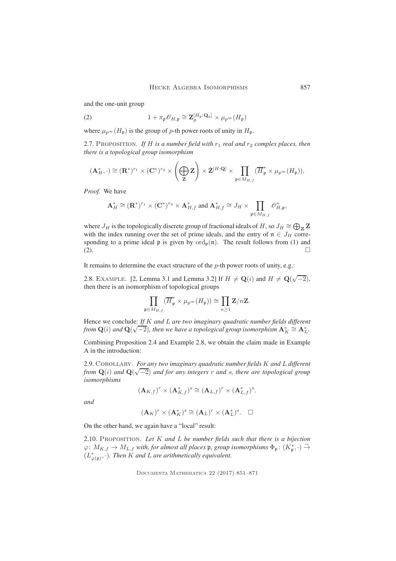and the one-unit group

(2) 
$$
1 + \pi_{\mathfrak{p}} \mathscr{O}_{H, \mathfrak{p}} \cong \mathbf{Z}_p^{[H_{\mathfrak{p}}: \mathbf{Q}_p]} \times \mu_{p^{\infty}}(H_{\mathfrak{p}})
$$

where  $\mu_{p^{\infty}}(H_{\mathfrak{p}})$  is the group of p-th power roots of unity in  $H_{\mathfrak{p}}$ .

2.7. PROPOSITION. If H is a number field with  $r_1$  real and  $r_2$  complex places, then *there is a topological group isomorphism*

$$
(\mathbf{A}_{H}^{*},\cdot)\cong(\mathbf{R}^{*})^{r_{1}}\times(\mathbf{C}^{*})^{r_{2}}\times(\bigoplus_{\mathbf{Z}}\mathbf{Z})\times\hat{\mathbf{Z}}^{[H:\mathbf{Q}]}\times\prod_{\mathfrak{p}\in M_{H,f}}(\overline{H}_{\mathfrak{p}}^{*}\times\mu_{p^{\infty}}(H_{\mathfrak{p}})).
$$

*Proof.* We have

$$
\mathbf{A}^*_{H} \cong (\mathbf{R}^*)^{r_1} \times (\mathbf{C}^*)^{r_2} \times \mathbf{A}^*_{H,f} \text{ and } \mathbf{A}^*_{H,f} \cong J_H \times \prod_{\mathfrak{p} \in M_{H,f}} \mathscr{O}^*_{H,\mathfrak{p}},
$$

where  $J_H$  is the topologically discrete group of fractional ideals of  $H$ , so  $J_H \cong \bigoplus_{\mathbf{Z}} \mathbf{Z}$ with the index running over the set of prime ideals, and the entry of  $n \in J_H$  corresponding to a prime ideal  $\mathfrak p$  is given by  $\text{ord}_{\mathfrak p}(\mathfrak n)$ . The result follows from (1) and (2).

It remains to determine the exact structure of the p-th power roots of unity, e.g.:

2.8. EXAMPLE. [2, Lemma 3.1 and Lemma 3.2] If  $H \neq \mathbf{Q}(i)$  and  $H \neq \mathbf{Q}(\sqrt{-2})$ , then there is an isomorphism of topological groups

$$
\prod_{{\mathfrak{p}}\in M_{H,f}}(\overline{H}_{\mathfrak{p}}^*\times \mu_{p^\infty}(H_{\mathfrak{p}}))\cong \prod_{n\geq 1}{\mathbf{Z}}/n{\mathbf{Z}}.
$$

Hence we conclude: *If* K *and* L *are two imaginary quadratic number fields different from*  $Q(i)$  *and*  $Q(\sqrt{-2})$ *, then we have a topological group isomorphism*  $A_K^* \cong A_L^*$ *.* 

Combining Proposition 2.4 and Example 2.8, we obtain the claim made in Example A in the introduction:

2.9. Corollary. *For any two imaginary quadratic number fields* K *and* L *different*  $f$  *from*  $Q(i)$  *and*  $Q(\sqrt{-2})$  *and for any integers* r *and s, there are topological group isomorphisms*

$$
(\mathbf{A}_{K,f})^r \times (\mathbf{A}_{K,f}^*)^s \cong (\mathbf{A}_{L,f})^r \times (\mathbf{A}_{L,f}^*)^s.
$$

*and*

$$
(\mathbf{A}_K)^r \times (\mathbf{A}_K^*)^s \cong (\mathbf{A}_L)^r \times (\mathbf{A}_L^*)^s. \quad \Box
$$

On the other hand, we again have a "local" result:

2.10. Proposition. *Let* K *and* L *be number fields such that there is a bijection*  $\varphi\colon M_{K,f}\to M_{L,f}$  with, for almost all places  $\frak{p},$  group isomorphisms  $\Phi_\frak{p}\colon (K_\frak{p}^*,\cdot)\stackrel{\sim}{\to}$  $(L^*_{\varphi(\mathfrak{p})}, \cdot)$ *. Then* K and L are arithmetically equivalent.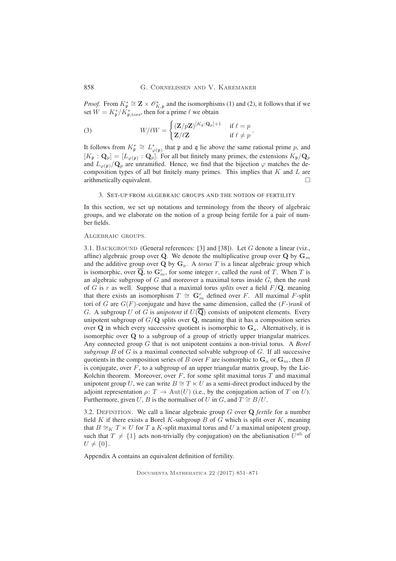*Proof.* From  $K^*_{\mathfrak{p}} \cong \mathbf{Z} \times \mathcal{O}_{K,\mathfrak{p}}^*$  and the isomorphisms (1) and (2), it follows that if we set  $W = K^*_{\mathfrak{p}}/K^*_{\mathfrak{p},\text{tors}},$  then for a prime  $\ell$  we obtain

(3) 
$$
W/\ell W = \begin{cases} (\mathbf{Z}/p\mathbf{Z})^{[K_p:\mathbf{Q}_p]+1} & \text{if } \ell = p \\ \mathbf{Z}/\ell \mathbf{Z} & \text{if } \ell \neq p \end{cases}.
$$

It follows from  $K_{\mathfrak{p}}^* \cong L_{\varphi(\mathfrak{p})}^*$  that  $\mathfrak{p}$  and  $\mathfrak{q}$  lie above the same rational prime p, and  $[K_{\frak{p}}:{\bf Q}_p]=[L_{\varphi(\frak{p})}:{\bf Q}_p].$  For all but finitely many primes, the extensions  $K_{\frak{p}}/{\bf Q}_p$ and  $L_{\varphi(\mathfrak{p})}/\mathbf{Q}_p$  are unramified. Hence, we find that the bijection  $\varphi$  matches the decomposition types of all but finitely many primes. This implies that  $K$  and  $L$  are arithmetically equivalent.

# 3. SET-UP FROM ALGEBRAIC GROUPS AND THE NOTION OF FERTILITY

In this section, we set up notations and terminology from the theory of algebraic groups, and we elaborate on the notion of a group being fertile for a pair of number fields.

## Algebraic groups.

3.1. BACKGROUND (General references: [3] and [38]). Let G denote a linear (viz., affine) algebraic group over Q. We denote the multiplicative group over Q by  $G_m$ and the additive group over  $Q$  by  $G_a$ . A *torus*  $T$  is a linear algebraic group which is isomorphic, over  $\overline{\mathbf{Q}}$ , to  $\mathbf{G}_m^r$ , for some integer r, called the *rank* of T. When T is an algebraic subgroup of G and moreover a maximal torus inside G, then the *rank* of G is r as well. Suppose that a maximal torus *splits* over a field  $F/Q$ , meaning that there exists an isomorphism  $T \cong \mathbf{G}_m^r$  defined over F. All maximal F-split tori of G are G(F)-conjugate and have the same dimension, called the (F-)*rank* of G. A subgroup U of G is *unipotent* if  $U(\overline{Q})$  consists of unipotent elements. Every unipotent subgroup of  $G/Q$  splits over  $Q$ , meaning that it has a composition series over Q in which every successive quotient is isomorphic to  $G_a$ . Alternatively, it is isomorphic over Q to a subgroup of a group of strictly upper triangular matrices. Any connected group G that is not unipotent contains a non-trivial torus. A *Borel* subgroup  $B$  of  $G$  is a maximal connected solvable subgroup of  $G$ . If all successive quotients in the composition series of B over F are isomorphic to  $G_a$  or  $G_m$ , then B is conjugate, over  $F$ , to a subgroup of an upper triangular matrix group, by the Lie-Kolchin theorem. Moreover, over  $F$ , for some split maximal torus  $T$  and maximal unipotent group U, we can write  $B \cong T \ltimes U$  as a semi-direct product induced by the adjoint representation  $\rho: T \to \text{Aut}(U)$  (i.e., by the conjugation action of T on U). Furthermore, given U, B is the normaliser of U in G, and  $T \cong B/U$ .

3.2. DEFINITION. We call a linear algebraic group  $G$  over  $Q$  *fertile* for a number field K if there exists a Borel K-subgroup B of G which is split over K, meaning that  $B \cong_K T \ltimes U$  for T a K-split maximal torus and U a maximal unipotent group, such that  $T \neq \{1\}$  acts non-trivially (by conjugation) on the abelianisation  $U^{\text{ab}}$  of  $U \neq \{0\}.$ 

Appendix A contains an equivalent definition of fertility.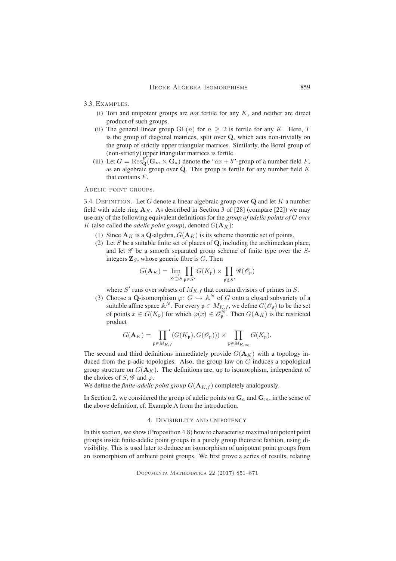3.3. Examples.

- (i) Tori and unipotent groups are *not* fertile for any K, and neither are direct product of such groups.
- (ii) The general linear group  $GL(n)$  for  $n \geq 2$  is fertile for any K. Here, T is the group of diagonal matrices, split over Q, which acts non-trivially on the group of strictly upper triangular matrices. Similarly, the Borel group of (non-strictly) upper triangular matrices is fertile.
- (iii) Let  $G = \text{Res}_{\mathbf{Q}}^F(\mathbf{G}_m \ltimes \mathbf{G}_a)$  denote the " $ax + b$ "-group of a number field F, as an algebraic group over  $Q$ . This group is fertile for any number field  $K$ that contains F.

Adelic point groups.

3.4. DEFINITION. Let G denote a linear algebraic group over  $Q$  and let K a number field with adele ring  $A_K$ . As described in Section 3 of [28] (compare [22]) we may use any of the following equivalent definitions for the *group of adelic points of* G *over* K (also called the *adelic point group*), denoted  $G(\mathbf{A}_K)$ :

- (1) Since  $A_K$  is a Q-algebra,  $G(A_K)$  is its scheme theoretic set of points.
- (2) Let  $S$  be a suitable finite set of places of  $Q$ , including the archimedean place, and let  $\mathscr G$  be a smooth separated group scheme of finite type over the  $S$ integers  $\mathbf{Z}_S$ , whose generic fibre is  $G$ . Then

$$
G(\mathbf{A}_K) = \lim_{S' \to S} \prod_{\mathfrak{p} \in S'} G(K_{\mathfrak{p}}) \times \prod_{\mathfrak{p} \notin S'} \mathscr{G}(\mathscr{O}_{\mathfrak{p}})
$$

where  $S'$  runs over subsets of  $M_{K,f}$  that contain divisors of primes in  $S$ .

(3) Choose a Q-isomorphism  $\varphi: G \hookrightarrow \mathbb{A}^N$  of G onto a closed subvariety of a suitable affine space  $\mathbb{A}^N$ . For every  $\mathfrak{p} \in M_{K,f}$ , we define  $G(\mathscr{O}_{\mathfrak{p}})$  to be the set of points  $x \in G(K_p)$  for which  $\varphi(x) \in \mathcal{O}_{\mathfrak{p}}^N$ . Then  $G(\mathbf{A}_K)$  is the restricted product

$$
G(\mathbf{A}_K)=\prod_{\mathfrak{p}\in M_{K,f}}'(G(K_{\mathfrak{p}}),G(\mathscr{O}_{\mathfrak{p}})))\times\prod_{\mathfrak{p}\in M_{K,\infty}}G(K_{\mathfrak{p}}).
$$

The second and third definitions immediately provide  $G(\mathbf{A}_K)$  with a topology induced from the p-adic topologies. Also, the group law on  $G$  induces a topological group structure on  $G(\mathbf{A}_K)$ . The definitions are, up to isomorphism, independent of the choices of S,  $\mathscr G$  and  $\varphi$ .

We define the *finite-adelic point group*  $G(\mathbf{A}_{K,f})$  completely analogously.

In Section 2, we considered the group of adelic points on  $G_a$  and  $G_m$ , in the sense of the above definition, cf. Example A from the introduction.

## 4. DIVISIBILITY AND UNIPOTENCY

In this section, we show (Proposition 4.8) how to characterise maximal unipotent point groups inside finite-adelic point groups in a purely group theoretic fashion, using divisibility. This is used later to deduce an isomorphism of unipotent point groups from an isomorphism of ambient point groups. We first prove a series of results, relating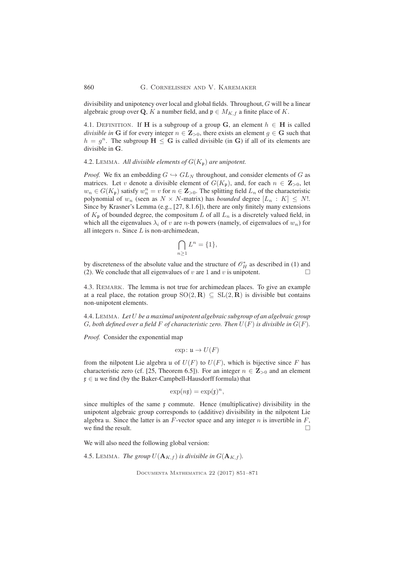#### 860 G. Cornelissen and V. Karemaker

divisibility and unipotency over local and global fields. Throughout, G will be a linear algebraic group over Q, K a number field, and  $\mathfrak{p} \in M_{K,f}$  a finite place of K.

4.1. DEFINITION. If H is a subgroup of a group G, an element  $h \in H$  is called *divisible in* G if for every integer  $n \in \mathbb{Z}_{>0}$ , there exists an element  $g \in G$  such that  $h = g^n$ . The subgroup  $H \le G$  is called divisible (in G) if all of its elements are divisible in G.

4.2. LEMMA. All divisible elements of  $G(K_p)$  are unipotent.

*Proof.* We fix an embedding  $G \hookrightarrow GL_N$  throughout, and consider elements of G as matrices. Let v denote a divisible element of  $G(K_p)$ , and, for each  $n \in \mathbb{Z}_{>0}$ , let  $w_n \in G(K_p)$  satisfy  $w_n^n = v$  for  $n \in \mathbb{Z}_{>0}$ . The splitting field  $L_n$  of the characteristic polynomial of  $w_n$  (seen as  $N \times N$ -matrix) has *bounded* degree  $[L_n : K] \leq N!$ . Since by Krasner's Lemma (e.g., [27, 8.1.6]), there are only finitely many extensions of  $K_p$  of bounded degree, the compositum L of all  $L_n$  is a discretely valued field, in which all the eigenvalues  $\lambda_i$  of v are n-th powers (namely, of eigenvalues of  $w_n$ ) for all integers  $n$ . Since  $L$  is non-archimedean,

$$
\bigcap_{n\geq 1}L^n=\{1\},\
$$

by discreteness of the absolute value and the structure of  $\mathcal{O}_H^*$  as described in (1) and (2). We conclude that all eigenvalues of v are 1 and v is unipotent.  $\Box$ 

4.3. REMARK. The lemma is not true for archimedean places. To give an example at a real place, the rotation group  $SO(2, \mathbf{R}) \subseteq SL(2, \mathbf{R})$  is divisible but contains non-unipotent elements.

4.4. Lemma. *Let* U *be a maximal unipotent algebraic subgroup of an algebraic group* G, both defined over a field F of characteristic zero. Then  $U(F)$  is divisible in  $G(F)$ .

*Proof.* Consider the exponential map

$$
\exp\colon \mathfrak{u} \to U(F)
$$

from the nilpotent Lie algebra u of  $U(F)$  to  $U(F)$ , which is bijective since F has characteristic zero (cf. [25, Theorem 6.5]). For an integer  $n \in \mathbb{Z}_{>0}$  and an element  $x \in \mathfrak{u}$  we find (by the Baker-Campbell-Hausdorff formula) that

$$
\exp(n\mathfrak{x}) = \exp(\mathfrak{x})^n,
$$

since multiples of the same  $x$  commute. Hence (multiplicative) divisibility in the unipotent algebraic group corresponds to (additive) divisibility in the nilpotent Lie algebra u. Since the latter is an  $F$ -vector space and any integer  $n$  is invertible in  $F$ , we find the result.  $\Box$ 

We will also need the following global version:

4.5. LEMMA. *The group*  $U(\mathbf{A}_{K,f})$  *is divisible in*  $G(\mathbf{A}_{K,f})$ *.*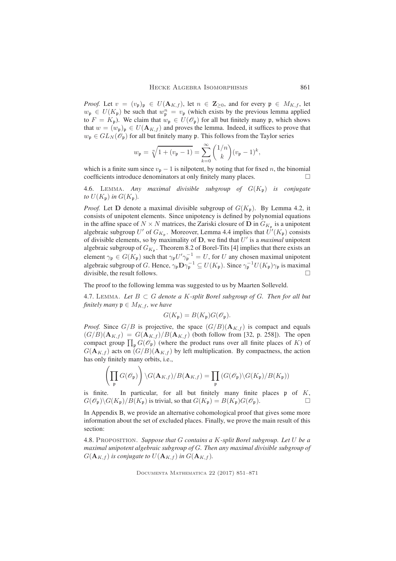*Proof.* Let  $v = (v_p)_p \in U(\mathbf{A}_{K,f})$ , let  $n \in \mathbb{Z}_{\geq 0}$ , and for every  $p \in M_{K,f}$ , let  $w_{\mathfrak{p}} \in U(K_{\mathfrak{p}})$  be such that  $w_{\mathfrak{p}}^n = v_{\mathfrak{p}}$  (which exists by the previous lemma applied to  $F = K_p$ ). We claim that  $w_p \in U(\mathcal{O}_p)$  for all but finitely many p, which shows that  $w = (w_{\mathfrak{p}})_{\mathfrak{p}} \in U(\mathbf{A}_{K,f})$  and proves the lemma. Indeed, it suffices to prove that  $w_p \in GL_N(\mathscr{O}_p)$  for all but finitely many p. This follows from the Taylor series

$$
w_{\mathfrak{p}} = \sqrt[n]{1 + (v_{\mathfrak{p}} - 1)} = \sum_{k=0}^{\infty} {1/n \choose k} (v_{\mathfrak{p}} - 1)^k,
$$

which is a finite sum since  $v_p - 1$  is nilpotent, by noting that for fixed *n*, the binomial coefficients introduce denominators at only finitely many places. coefficients introduce denominators at only finitely many places.

4.6. Lemma. *Any maximal divisible subgroup of* G(Kp) *is conjugate to*  $U(K_p)$  *in*  $G(K_p)$ *.* 

*Proof.* Let **D** denote a maximal divisible subgroup of  $G(K_p)$ . By Lemma 4.2, it consists of unipotent elements. Since unipotency is defined by polynomial equations in the affine space of  $N \times N$  matrices, the Zariski closure of D in  $G_{K_p}$  is a unipotent algebraic subgroup U' of  $G_{K_{\mathfrak{p}}}$ . Moreover, Lemma 4.4 implies that  $U'(K_{\mathfrak{p}})$  consists of divisible elements, so by maximality of  $D$ , we find that  $U'$  is a *maximal* unipotent algebraic subgroup of  $G_{K_p}$ . Theorem 8.2 of Borel-Tits [4] implies that there exists an element  $\gamma_{\mathfrak{p}} \in G(K_{\mathfrak{p}})$  such that  $\gamma_{\mathfrak{p}} U' \gamma_{\mathfrak{p}}^{-1} = U$ , for U any chosen maximal unipotent algebraic subgroup of G. Hence,  $\gamma_{\mathfrak{p}} \mathbf{D} \gamma_{\mathfrak{p}}^{-1} \subseteq U(K_{\mathfrak{p}})$ . Since  $\gamma_{\mathfrak{p}}^{-1} U(K_{\mathfrak{p}}) \gamma_{\mathfrak{p}}$  is maximal divisible, the result follows.

The proof to the following lemma was suggested to us by Maarten Solleveld.

4.7. LEMMA. Let  $B \subset G$  denote a K-split Borel subgroup of G. Then for all but *finitely many*  $\mathfrak{p} \in M_{K, f}$ *, we have* 

$$
G(K_{\mathfrak{p}}) = B(K_{\mathfrak{p}})G(\mathcal{O}_{\mathfrak{p}}).
$$

*Proof.* Since  $G/B$  is projective, the space  $(G/B)(A_{K,f})$  is compact and equals  $(G/B)(\mathbf{A}_{K,f}) = G(\mathbf{A}_{K,f})/B(\mathbf{A}_{K,f})$  (both follow from [32, p. 258]). The open compact group  $\prod_{\mathfrak{p}} G(\mathcal{O}_{\mathfrak{p}})$  (where the product runs over all finite places of K) of  $G(A_{K,f})$  acts on  $(G/B)(A_{K,f})$  by left multiplication. By compactness, the action has only finitely many orbits, i.e.,

$$
\left(\prod_{\mathfrak{p}} G(\mathscr{O}_{\mathfrak{p}})\right) \backslash G(\mathbf{A}_{K,f})/B(\mathbf{A}_{K,f}) = \prod_{\mathfrak{p}} \left(G(\mathscr{O}_{\mathfrak{p}}) \backslash G(K_{\mathfrak{p}})/B(K_{\mathfrak{p}})\right)
$$

is finite. In particular, for all but finitely many finite places  $\mathfrak p$  of K,  $G(\mathcal{O}_{\mathfrak{p}})\backslash G(K_{\mathfrak{p}})/B(K_{\mathfrak{p}})$  is trivial, so that  $G(K_{\mathfrak{p}})=B(K_{\mathfrak{p}})G(\mathcal{O}_{\mathfrak{p}})$ .

In Appendix B, we provide an alternative cohomological proof that gives some more information about the set of excluded places. Finally, we prove the main result of this section:

4.8. Proposition. *Suppose that* G *contains a* K*-split Borel subgroup. Let* U *be a maximal unipotent algebraic subgroup of* G*. Then any maximal divisible subgroup of*  $G(\mathbf{A}_{K,f})$  *is conjugate to*  $U(\mathbf{A}_{K,f})$  *in*  $G(\mathbf{A}_{K,f})$ *.*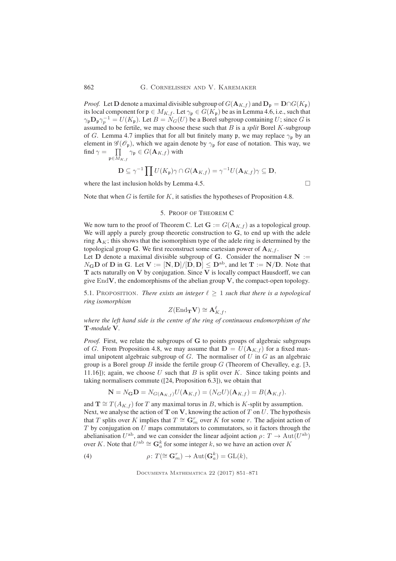*Proof.* Let **D** denote a maximal divisible subgroup of  $G(\mathbf{A}_{K,f})$  and  $\mathbf{D}_{\mathfrak{p}} = \mathbf{D} \cap G(K_{\mathfrak{p}})$ its local component for  $\mathfrak{p} \in M_{K,f}$ . Let  $\gamma_{\mathfrak{p}} \in G(K_{\mathfrak{p}})$  be as in Lemma 4.6, i.e., such that  $\gamma_{\mathfrak{p}} \mathbf{D}_{\mathfrak{p}} \gamma_{p}^{-1} = U(K_{\mathfrak{p}})$ . Let  $B = N_G(U)$  be a Borel subgroup containing U; since G is assumed to be fertile, we may choose these such that B is a *split* Borel K-subgroup of G. Lemma 4.7 implies that for all but finitely many p, we may replace  $\gamma_p$  by an element in  $\mathscr{G}(\mathscr{O}_{\mathfrak{p}})$ , which we again denote by  $\gamma_{\mathfrak{p}}$  for ease of notation. This way, we find  $\gamma = \prod$  $\prod_{\mathfrak{p}\in M_{K,f}}\gamma_{\mathfrak{p}}\in G(\mathbf{A}_{K,f})$  with

$$
\mathbf{D} \subseteq \gamma^{-1} \prod U(K_{\mathfrak{p}}) \gamma \cap G(\mathbf{A}_{K,f}) = \gamma^{-1} U(\mathbf{A}_{K,f}) \gamma \subseteq \mathbf{D},
$$

where the last inclusion holds by Lemma 4.5.  $\Box$ 

Note that when  $G$  is fertile for  $K$ , it satisfies the hypotheses of Proposition 4.8.

## 5. PROOF OF THEOREM C

We now turn to the proof of Theorem C. Let  $G := G(A_{K,f})$  as a topological group. We will apply a purely group theoretic construction to G, to end up with the adele ring  $A<sub>K</sub>$ ; this shows that the isomorphism type of the adele ring is determined by the topological group G. We first reconstruct some cartesian power of  $A_{K,f}$ .

Let D denote a maximal divisible subgroup of G. Consider the normaliser  $N :=$  $N_{\mathbf{G}}\mathbf{D}$  of  $\mathbf{D}$  in  $\mathbf{G}$ . Let  $\mathbf{V} := [\mathbf{N}, \mathbf{D}]/[\mathbf{D}, \mathbf{D}] \leq \mathbf{D}^{ab}$ , and let  $\mathbf{T} := \mathbf{N}/\mathbf{D}$ . Note that  $T$  acts naturally on  $V$  by conjugation. Since  $V$  is locally compact Hausdorff, we can give  $\text{End}V$ , the endomorphisms of the abelian group V, the compact-open topology.

5.1. PROPOSITION. *There exists an integer*  $\ell \geq 1$  *such that there is a topological ring isomorphism*

$$
Z(\mathrm{End}_{\mathbf{T}}\mathbf{V}) \cong \mathbf{A}^{\ell}_{K,f},
$$

*where the left hand side is the centre of the ring of continuous endomorphism of the* T*-module* V*.*

*Proof.* First, we relate the subgroups of G to points groups of algebraic subgroups of G. From Proposition 4.8, we may assume that  $D = U(A_{K,f})$  for a fixed maximal unipotent algebraic subgroup of  $G$ . The normaliser of  $U$  in  $G$  as an algebraic group is a Borel group B inside the fertile group  $G$  (Theorem of Chevalley, e.g. [3, 11.16]); again, we choose U such that B is split over K. Since taking points and taking normalisers commute ([24, Proposition 6.3]), we obtain that

$$
\mathbf{N} = N_{\mathbf{G}} \mathbf{D} = N_{G(\mathbf{A}_{K,f})} U(\mathbf{A}_{K,f}) = (N_G U)(\mathbf{A}_{K,f}) = B(\mathbf{A}_{K,f}).
$$

and  $\mathbf{T} \cong T(A_{K,f})$  for T any maximal torus in B, which is K-split by assumption. Next, we analyse the action of  $T$  on  $V$ , knowing the action of  $T$  on  $U$ . The hypothesis that T splits over K implies that  $T \cong \mathbf{G}_m^r$  over K for some r. The adjoint action of  $T$  by conjugation on  $U$  maps commutators to commutators, so it factors through the abelianisation  $U^{\text{ab}}$ , and we can consider the linear adjoint action  $\rho \colon T \to \text{Aut}(U^{\text{ab}})$ over K. Note that  $U^{\text{ab}} \cong \mathbf{G}_a^k$  for some integer k, so we have an action over K

(4) 
$$
\rho \colon T(\cong \mathbf{G}_m^r) \to \mathrm{Aut}(\mathbf{G}_a^k) = \mathrm{GL}(k),
$$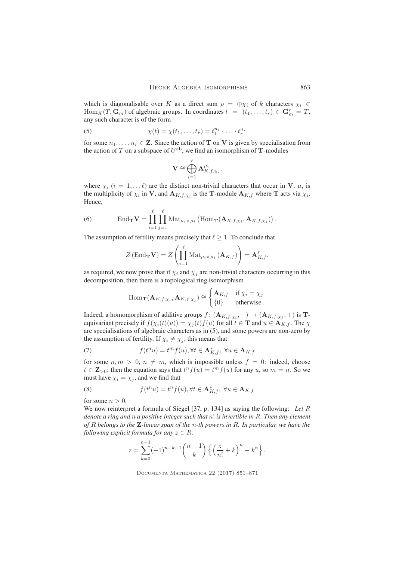which is diagonalisable over K as a direct sum  $\rho = \bigoplus \chi_i$  of k characters  $\chi_i \in$  $\text{Hom}_K(T, \mathbf{G}_m)$  of algebraic groups. In coordinates  $t = (t_1, \ldots, t_r) \in \mathbf{G}_m^r = T$ , any such character is of the form

(5) 
$$
\chi(t) = \chi(t_1, ..., t_r) = t_1^{n_1} \cdot ... \cdot t_r^{n_r}
$$

for some  $n_1, \ldots, n_r \in \mathbb{Z}$ . Since the action of T on V is given by specialisation from the action of T on a subspace of  $U^{\text{ab}}$ , we find an isomorphism of T-modules

$$
\mathbf{V} \cong \bigoplus_{i=1}^\ell \mathbf{A}_{K, f, \chi_i}^{\mu_i},
$$

where  $\chi_i$  ( $i = 1, \ldots l$ ) are the distinct non-trivial characters that occur in V,  $\mu_i$  is the multiplicity of  $\chi_i$  in V, and  $\mathbf{A}_{K,f,\chi_i}$  is the T-module  $\mathbf{A}_{K,f}$  where T acts via  $\chi_i$ . Hence,

(6) 
$$
\operatorname{End}_{\mathbf{T}} \mathbf{V} = \prod_{i=1}^{\ell} \prod_{j=1}^{\ell} \operatorname{Mat}_{\mu_j \times \mu_i} \left( \operatorname{Hom}_{\mathbf{T}} (\mathbf{A}_{K,f,\chi_i}, \mathbf{A}_{K,f,\chi_j}) \right).
$$

The assumption of fertility means precisely that  $\ell > 1$ . To conclude that

$$
Z(\text{End}_{\mathbf{T}}\mathbf{V}) = Z\left(\prod_{i=1}^{\ell} \text{Mat}_{\mu_i \times \mu_i}(\mathbf{A}_{K,f})\right) = \mathbf{A}_{K,f}^{\ell},
$$

as required, we now prove that if  $\chi_i$  and  $\chi_j$  are non-trivial characters occurring in this decomposition, then there is a topological ring isomorphism

$$
\operatorname{Hom}_{\mathbf{T}}(\mathbf{A}_{K,f,\chi_i}, \mathbf{A}_{K,f,\chi_j}) \cong \begin{cases} \mathbf{A}_{K,f} & \text{if } \chi_i = \chi_j \\ \{0\} & \text{otherwise} \end{cases}.
$$

Indeed, a homomorphism of additive groups  $f: (\mathbf{A}_{K,f,\chi_i}, +) \to (\mathbf{A}_{K,f,\chi_j}, +)$  is **T**equivariant precisely if  $f(\chi_i(t)(u)) = \chi_j(t)f(u)$  for all  $t \in \mathbf{T}$  and  $u \in \mathbf{A}_{K,f}$ . The  $\chi$ are specialisations of algebraic characters as in (5), and some powers are non-zero by the assumption of fertility. If  $\chi_i \neq \chi_j$ , this means that

(7) 
$$
f(t^n u) = t^m f(u), \forall t \in \mathbf{A}_{K,f}^*, \ \forall u \in \mathbf{A}_{K,f}
$$

for some  $n, m > 0, n \neq m$ , which is impossible unless  $f = 0$ : indeed, choose  $t \in \mathbb{Z}_{>0}$ ; then the equation says that  $t^n f(u) = t^m f(u)$  for any u, so  $m = n$ . So we must have  $\chi_i = \chi_j$ , and we find that

(8) 
$$
f(t^n u) = t^n f(u), \forall t \in \mathbf{A}_{K,f}^*, \forall u \in \mathbf{A}_{K,f}
$$

for some  $n > 0$ .

We now reinterpret a formula of Siegel [37, p. 134] as saying the following: *Let* R *denote a ring and* n *a positive integer such that* n! *is invertible in* R*. Then any element of* R *belongs to the* Z*-linear span of the* n*-th powers in* R*. In particular, we have the following explicit formula for any*  $z \in R$ *:* 

$$
z = \sum_{k=0}^{n-1} (-1)^{n-k-1} {n-1 \choose k} \left\{ \left(\frac{z}{n!} + k\right)^n - k^n \right\}.
$$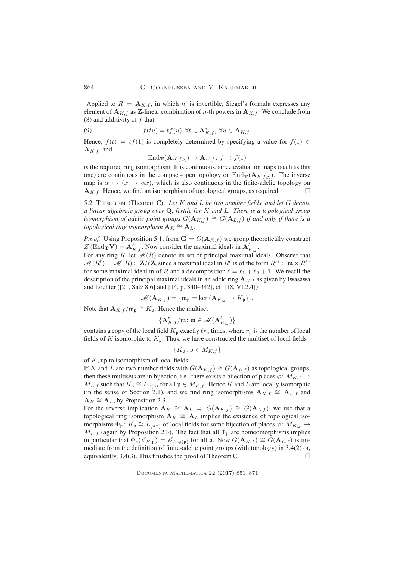Applied to  $R = A_{K,f}$ , in which n! is invertible, Siegel's formula expresses any element of  $A_{K,f}$  as Z-linear combination of *n*-th powers in  $A_{K,f}$ . We conclude from (8) and additivity of  $f$  that

(9) 
$$
f(tu) = tf(u), \forall t \in \mathbf{A}_{K,f}^*, \forall u \in \mathbf{A}_{K,f}.
$$

Hence,  $f(t) = tf(1)$  is completely determined by specifying a value for  $f(1) \in$  $\mathbf{A}_{K,f}$ , and

 $\text{End}_{\mathbf{T}}(\mathbf{A}_{K,f,\chi}) \to \mathbf{A}_{K,f} : f \mapsto f(1)$ 

is the required ring isomorphism. It is continuous, since evaluation maps (such as this one) are continuous in the compact-open topology on  $\text{End}_{\textbf{T}}(\mathbf{A}_{K,f,\chi})$ . The inverse map is  $\alpha \mapsto (x \mapsto \alpha x)$ , which is also continuous in the finite-adelic topology on  $A_{K,f}$ . Hence, we find an isomorphism of topological groups, as required.

5.2. Theorem (Theorem C). *Let* K *and* L *be two number fields, and let* G *denote a linear algebraic group over* Q*, fertile for* K *and* L*. There is a topological group isomorphism of adelic point groups*  $G(\mathbf{A}_{K,f}) \cong G(\mathbf{A}_{L,f})$  *if and only if there is a*  $topological$  ring isomorphism  $\mathbf{A}_K \cong \mathbf{A}_L$ .

*Proof.* Using Proposition 5.1, from  $G = G(A_{K,f})$  we group theoretically construct  $Z(\text{End}_{\mathbf{T}}\mathbf{V}) = \mathbf{A}_{K,f}^{\ell}$ . Now consider the maximal ideals in  $\mathbf{A}_{K,f}^{\ell}$ .

For any ring R, let  $\mathcal{M}(R)$  denote its set of principal maximal ideals. Observe that  $M(R^{\ell}) = M(R) \times \mathbf{Z}/\ell\mathbf{Z}$ , since a maximal ideal in  $R^{\ell}$  is of the form  $R^{\ell_1} \times \mathfrak{m} \times R^{\ell_2}$ for some maximal ideal m of R and a decomposition  $\ell = \ell_1 + \ell_2 + 1$ . We recall the description of the principal maximal ideals in an adele ring  $A_{K,f}$  as given by Iwasawa and Lochter ([21, Satz 8.6] and [14, p. 340–342], cf. [18, VI.2.4]):

$$
\mathscr{M}(\mathbf{A}_{K,f}) = \{ \mathfrak{m}_{\mathfrak{p}} = \ker (\mathbf{A}_{K,f} \to K_{\mathfrak{p}}) \}.
$$

Note that  $\mathbf{A}_{K,f}/\mathfrak{m}_{\mathfrak{p}} \cong K_{\mathfrak{p}}$ . Hence the multiset

$$
\{\mathbf A_{K,f}^{\ell}/\mathfrak{m}\colon \mathfrak{m}\in \mathscr{M}(\mathbf A_{K,f}^{\ell})\}
$$

contains a copy of the local field  $K_p$  exactly  $\ell r_p$  times, where  $r_p$  is the number of local fields of K isomorphic to  $K_p$ . Thus, we have constructed the multiset of local fields

$$
\{K_{\mathfrak{p}}\colon \mathfrak{p}\in M_{K,f}\}
$$

of  $K$ , up to isomorphism of local fields.

If K and L are two number fields with  $G(\mathbf{A}_{K,f}) \cong G(\mathbf{A}_{L,f})$  as topological groups, then these multisets are in bijection, i.e., there exists a bijection of places  $\varphi: M_{K,f} \to$  $M_{L,f}$  such that  $K_{\mathfrak{p}} \cong L_{\varphi(\mathfrak{p})}$  for all  $\mathfrak{p} \in M_{K,f}$ . Hence K and L are locally isomorphic (in the sense of Section 2.1), and we find ring isomorphisms  $\mathbf{A}_{K,f} \cong \mathbf{A}_{L,f}$  and  ${\bf A}_K \cong {\bf A}_L$ , by Proposition 2.3.

For the reverse implication  $\mathbf{A}_K \cong \mathbf{A}_L \Rightarrow G(\mathbf{A}_{K,f}) \cong G(\mathbf{A}_{L,f})$ , we use that a topological ring isomorphism  $A_K \cong A_L$  implies the existence of topological isomorphisms  $\Phi_{\mathfrak{p}}: K_{\mathfrak{p}} \cong L_{\varphi(\mathfrak{p})}$  of local fields for some bijection of places  $\varphi: M_{K,f} \to$  $M_{L,f}$  (again by Proposition 2.3). The fact that all  $\Phi_{\mathfrak{p}}$  are homeomorphisms implies in particular that  $\Phi_{\mathfrak{p}}(\mathscr{O}_{K,\mathfrak{p}}) = \mathscr{O}_{L,\varphi(\mathfrak{p})}$  for all  $\mathfrak{p}$ . Now  $G(\mathbf{A}_{K,f}) \cong G(\mathbf{A}_{L,f})$  is immediate from the definition of finite-adelic point groups (with topology) in 3.4(2) or, equivalently, 3.4(3). This finishes the proof of Theorem C.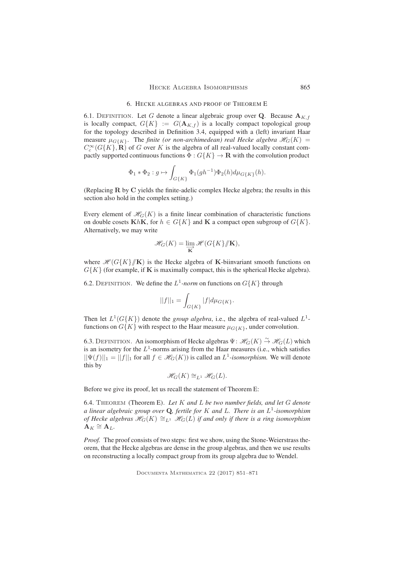# 6. HECKE ALGEBRAS AND PROOF OF THEOREM E

6.1. DEFINITION. Let G denote a linear algebraic group over Q. Because  $A_{K,f}$ is locally compact,  $G\{K\} := G(\mathbf{A}_{K,f})$  is a locally compact topological group for the topology described in Definition 3.4, equipped with a (left) invariant Haar measure  $\mu_{G\{K\}}$ . The *finite (or non-archimedean) real Hecke algebra*  $\mathcal{H}_G(K)$  =  $C_c^{\infty}(G\{K\},\mathbf{R})$  of G over K is the algebra of all real-valued locally constant compactly supported continuous functions  $\Phi: G\{K\} \to \mathbf{R}$  with the convolution product

$$
\Phi_1 * \Phi_2 : g \mapsto \int_{G\{K\}} \Phi_1(gh^{-1}) \Phi_2(h) d\mu_{G\{K\}}(h).
$$

(Replacing R by C yields the finite-adelic complex Hecke algebra; the results in this section also hold in the complex setting.)

Every element of  $\mathcal{H}_G(K)$  is a finite linear combination of characteristic functions on double cosets KhK, for  $h \in G\{K\}$  and K a compact open subgroup of  $G\{K\}$ . Alternatively, we may write

$$
\mathscr{H}_G(K) = \varinjlim_{\mathbf{K}} \mathscr{H}(G\{K\}/\!\!/ \mathbf{K}),
$$

where  $\mathcal{H}(G\{K\}/\mathbf{K})$  is the Hecke algebra of K-biinvariant smooth functions on  $G\{K\}$  (for example, if **K** is maximally compact, this is the spherical Hecke algebra).

6.2. DEFINITION. We define the  $L^1$ -norm on functions on  $G\{K\}$  through

$$
||f||_1 = \int_{G\{K\}} |f| d\mu_{G\{K\}}.
$$

Then let  $L^1(G\{K\})$  denote the *group algebra*, i.e., the algebra of real-valued  $L^1$ functions on  $G{K}$  with respect to the Haar measure  $\mu_{G{K}}$ , under convolution.

6.3. DEFINITION. An isomorphism of Hecke algebras  $\Psi \colon \mathcal{H}_G(K) \to \mathcal{H}_G(L)$  which is an isometry for the  $L^1$ -norms arising from the Haar measures (i.e., which satisfies  $||\Psi(f)||_1 = ||f||_1$  for all  $f \in \mathcal{H}_G(K)$ ) is called an  $L^1$ -*isomorphism*. We will denote this by

$$
\mathcal{H}_G(K) \cong_{L^1} \mathcal{H}_G(L).
$$

Before we give its proof, let us recall the statement of Theorem E:

6.4. Theorem (Theorem E). *Let* K *and* L *be two number fields, and let* G *denote a linear algebraic group over* Q*, fertile for* K *and* L*. There is an* L 1 *-isomorphism of Hecke algebras*  $\mathcal{H}_G(K) \cong_{L^1} \mathcal{H}_G(L)$  *if and only if there is a ring isomorphism*  ${\bf A}_K \cong {\bf A}_L.$ 

*Proof.* The proof consists of two steps: first we show, using the Stone-Weierstrass theorem, that the Hecke algebras are dense in the group algebras, and then we use results on reconstructing a locally compact group from its group algebra due to Wendel.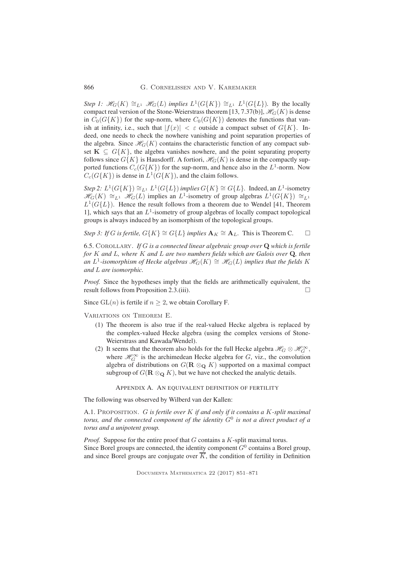#### 866 G. Cornelissen and V. Karemaker

*Step 1:*  $\mathcal{H}_G(K) \cong_{L^1} \mathcal{H}_G(L)$  *implies*  $L^1(G\{K\}) \cong_{L^1} L^1(G\{L\})$ *.* By the locally compact real version of the Stone-Weierstrass theorem [13, 7.37(b)],  $\mathcal{H}_G(K)$  is dense in  $C_0(G\{K\})$  for the sup-norm, where  $C_0(G\{K\})$  denotes the functions that vanish at infinity, i.e., such that  $|f(x)| < \varepsilon$  outside a compact subset of  $G{K}$ . Indeed, one needs to check the nowhere vanishing and point separation properties of the algebra. Since  $\mathcal{H}_G(K)$  contains the characteristic function of any compact subset  $K \subseteq G{K}$ , the algebra vanishes nowhere, and the point separating property follows since  $G\{K\}$  is Hausdorff. A fortiori,  $\mathcal{H}_G(K)$  is dense in the compactly supported functions  $C_c(G\{K\})$  for the sup-norm, and hence also in the  $L^1$ -norm. Now  $C_c(G\{K\})$  is dense in  $L^1(G\{K\})$ , and the claim follows.

*Step 2:*  $L^1(G\{K\}) \cong_{L^1} L^1(G\{L\})$  *implies*  $G\{K\} \cong G\{L\}$ . Indeed, an  $L^1$ -isometry  $\mathcal{H}_G(K) \cong_{L^1} \mathcal{H}_G(L)$  implies an  $L^1$ -isometry of group algebras  $L^1(G\{K\}) \cong_{L^1}$  $L^1(G\{L\})$ . Hence the result follows from a theorem due to Wendel [41, Theorem 1], which says that an  $L^1$ -isometry of group algebras of locally compact topological groups is always induced by an isomorphism of the topological groups.

*Step 3: If G is fertile,*  $G\{K\} \cong G\{L\}$  *implies*  $\mathbf{A}_K \cong \mathbf{A}_L$ . This is Theorem C.  $\Box$ 

6.5. Corollary. *If* G *is a connected linear algebraic group over* Q *which is fertile for* K *and* L*, where* K *and* L *are two numbers fields which are Galois over* Q*, then an*  $L^1$ -isomorphism of Hecke algebras  $\mathscr{H}_G(K) \cong \mathscr{H}_G(L)$  implies that the fields K *and* L *are isomorphic.*

*Proof.* Since the hypotheses imply that the fields are arithmetically equivalent, the result follows from Proposition 2.3.(iii).

Since  $GL(n)$  is fertile if  $n \geq 2$ , we obtain Corollary F.

Variations on Theorem E.

- (1) The theorem is also true if the real-valued Hecke algebra is replaced by the complex-valued Hecke algebra (using the complex versions of Stone-Weierstrass and Kawada/Wendel).
- (2) It seems that the theorem also holds for the full Hecke algebra  $\mathcal{H}_G \otimes \mathcal{H}_G^{\infty}$ , where  $\mathcal{H}_G^{\infty}$  is the archimedean Hecke algebra for G, viz., the convolution algebra of distributions on  $G(\mathbf{R} \otimes_{\mathbf{Q}} K)$  supported on a maximal compact subgroup of  $G(\mathbf{R} \otimes_{\mathbf{Q}} K)$ , but we have not checked the analytic details.

APPENDIX A. AN EQUIVALENT DEFINITION OF FERTILITY

The following was observed by Wilberd van der Kallen:

A.1. Proposition. G *is fertile over* K *if and only if it contains a* K*-split maximal torus, and the connected component of the identity* G<sup>0</sup> *is not a direct product of a torus and a unipotent group.*

*Proof.* Suppose for the entire proof that G contains a K-split maximal torus. Since Borel groups are connected, the identity component  $G^0$  contains a Borel group, and since Borel groups are conjugate over  $\overline{K}$ , the condition of fertility in Definition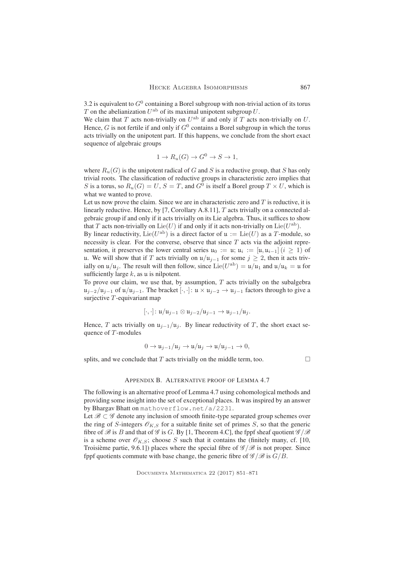3.2 is equivalent to  $G^0$  containing a Borel subgroup with non-trivial action of its torus T on the abelianization  $U^{\text{ab}}$  of its maximal unipotent subgroup U.

We claim that T acts non-trivially on  $U^{\text{ab}}$  if and only if T acts non-trivially on U. Hence, G is not fertile if and only if  $G^0$  contains a Borel subgroup in which the torus acts trivially on the unipotent part. If this happens, we conclude from the short exact sequence of algebraic groups

$$
1 \to R_u(G) \to G^0 \to S \to 1,
$$

where  $R_u(G)$  is the unipotent radical of G and S is a reductive group, that S has only trivial roots. The classification of reductive groups in characteristic zero implies that S is a torus, so  $R_u(G) = U$ ,  $S = T$ , and  $G^0$  is itself a Borel group  $T \times U$ , which is what we wanted to prove.

Let us now prove the claim. Since we are in characteristic zero and  $T$  is reductive, it is linearly reductive. Hence, by [7, Corollary A.8.11], T acts trivially on a connected algebraic group if and only if it acts trivially on its Lie algebra. Thus, it suffices to show that T acts non-trivially on  $\text{Lie}(U)$  if and only if it acts non-trivially on  $\text{Lie}(U^{\text{ab}})$ .

By linear reductivity,  $Lie(U^{ab})$  is a direct factor of  $\mathfrak{u} := Lie(U)$  as a T-module, so necessity is clear. For the converse, observe that since  $T$  acts via the adjoint representation, it preserves the lower central series  $u_0 := u$ ;  $u_i := [u, u_{i-1}](i \ge 1)$  of u. We will show that if T acts trivially on  $u/u_{j-1}$  for some  $j \ge 2$ , then it acts trivially on  $\mu/\mu_j$ . The result will then follow, since  $\text{Lie}(U^{\text{ab}}) = \mu/\mu_1$  and  $\mu/\mu_k = \mu$  for sufficiently large  $k$ , as  $\mu$  is nilpotent.

To prove our claim, we use that, by assumption,  $T$  acts trivially on the subalgebra  $u_{i-2}/u_{i-1}$  of  $u/u_{i-1}$ . The bracket  $[\cdot, \cdot]: u \times u_{i-2} \rightarrow u_{i-1}$  factors through to give a surjective  $T$ -equivariant map

$$
[\cdot,\cdot]:\mathfrak{u}/\mathfrak{u}_{j-1}\otimes\mathfrak{u}_{j-2}/\mathfrak{u}_{j-1}\to\mathfrak{u}_{j-1}/\mathfrak{u}_{j}.
$$

Hence, T acts trivially on  $u_{i-1}/u_i$ . By linear reductivity of T, the short exact sequence of  $T$ -modules

$$
0 \to \mathfrak{u}_{j-1}/\mathfrak{u}_j \to \mathfrak{u}/\mathfrak{u}_j \to \mathfrak{u}/\mathfrak{u}_{j-1} \to 0,
$$

splits, and we conclude that  $T$  acts trivially on the middle term, too.  $\Box$ 

#### APPENDIX B. ALTERNATIVE PROOF OF LEMMA 4.7

The following is an alternative proof of Lemma 4.7 using cohomological methods and providing some insight into the set of exceptional places. It was inspired by an answer by Bhargav Bhatt on mathoverflow.net/a/2231.

Let  $\mathscr{B} \subset \mathscr{G}$  denote any inclusion of smooth finite-type separated group schemes over the ring of S-integers  $\mathcal{O}_{K,S}$  for a suitable finite set of primes S, so that the generic fibre of  $\mathscr B$  is B and that of  $\mathscr G$  is G. By [1, Theorem 4.C], the fppf sheaf quotient  $\mathscr G/\mathscr B$ is a scheme over  $\mathcal{O}_{K,S}$ ; choose S such that it contains the (finitely many, cf. [10, Troisième partie, 9.6.1]) places where the special fibre of  $\mathscr{G}/\mathscr{B}$  is not proper. Since fppf quotients commute with base change, the generic fibre of  $\mathscr{G}/\mathscr{B}$  is  $G/B$ .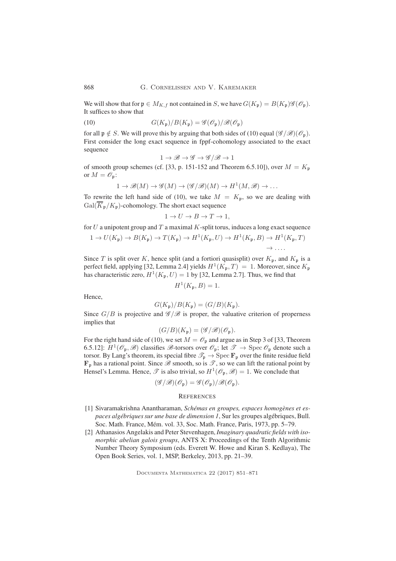We will show that for  $\mathfrak{p} \in M_{K,f}$  not contained in S, we have  $G(K_{\mathfrak{p}}) = B(K_{\mathfrak{p}})\mathscr{G}(\mathscr{O}_{\mathfrak{p}})$ . It suffices to show that

(10) 
$$
G(K_{\mathfrak{p}})/B(K_{\mathfrak{p}}) = \mathscr{G}(\mathscr{O}_{\mathfrak{p}})/\mathscr{B}(\mathscr{O}_{\mathfrak{p}})
$$

for all  $\mathfrak{p} \notin S$ . We will prove this by arguing that both sides of (10) equal  $(\mathscr{G}/\mathscr{B})(\mathscr{O}_{\mathfrak{p}})$ . First consider the long exact sequence in fppf-cohomology associated to the exact sequence

$$
1\to \mathscr{B} \to \mathscr{G} \to \mathscr{G}/\mathscr{B} \to 1
$$

of smooth group schemes (cf. [33, p. 151-152 and Theorem 6.5.10]), over  $M = K_{\mathfrak{p}}$ or  $M = \mathscr{O}_{\mathfrak{p}}$ :

$$
1 \to \mathcal{B}(M) \to \mathcal{G}(M) \to (\mathcal{G}/\mathcal{B})(M) \to H^1(M, \mathcal{B}) \to \dots
$$

To rewrite the left hand side of (10), we take  $M = K_{\mathfrak{p}}$ , so we are dealing with  $Gal(\overline{K}_{\mathfrak{p}}/K_{\mathfrak{p}})$ -cohomology. The short exact sequence

$$
1 \to U \to B \to T \to 1,
$$

for  $U$  a unipotent group and  $T$  a maximal  $K$ -split torus, induces a long exact sequence

$$
1 \to U(K_{\mathfrak{p}}) \to B(K_{\mathfrak{p}}) \to T(K_{\mathfrak{p}}) \to H^1(K_{\mathfrak{p}}, U) \to H^1(K_{\mathfrak{p}}, B) \to H^1(K_{\mathfrak{p}}, T)
$$
  

$$
\to \cdots
$$

Since T is split over K, hence split (and a fortiori quasisplit) over  $K_{\mathfrak{p}}$ , and  $K_{\mathfrak{p}}$  is a perfect field, applying [32, Lemma 2.4] yields  $H^1(K_{\mathfrak{p}},T) = 1$ . Moreover, since  $K_{\mathfrak{p}}$ has characteristic zero,  $H^1(K_p, U) = 1$  by [32, Lemma 2.7]. Thus, we find that

$$
H^1(K_{\mathfrak{p}},B) = 1.
$$

Hence,

$$
G(K_{\mathfrak{p}})/B(K_{\mathfrak{p}})=(G/B)(K_{\mathfrak{p}}).
$$

Since  $G/B$  is projective and  $\mathscr{G}/\mathscr{B}$  is proper, the valuative criterion of properness implies that

$$
(G/B)(K_{\mathfrak{p}})=(\mathscr{G}/\mathscr{B})(\mathscr{O}_{\mathfrak{p}}).
$$

For the right hand side of (10), we set  $M = \mathcal{O}_p$  and argue as in Step 3 of [33, Theorem 6.5.12]:  $H^1(\mathscr{O}_{\mathfrak{p}}, \mathscr{B})$  classifies  $\mathscr{B}$ -torsors over  $\mathscr{O}_{\mathfrak{p}}$ ; let  $\mathscr{T} \to \text{Spec } \mathscr{O}_{\mathfrak{p}}$  denote such a torsor. By Lang's theorem, its special fibre  $\mathcal{T}_p \to \text{Spec } \mathbf{F}_p$  over the finite residue field  $\mathbf{F}_p$  has a rational point. Since  $\mathscr{B}$  smooth, so is  $\mathscr{T}$ , so we can lift the rational point by Hensel's Lemma. Hence,  $\mathscr T$  is also trivial, so  $H^1(\mathscr O_{\mathfrak p},\mathscr B)=1$ . We conclude that

$$
(\mathscr{G}/\mathscr{B})(\mathscr{O}_{\mathfrak{p}})=\mathscr{G}(\mathscr{O}_{\mathfrak{p}})/\mathscr{B}(\mathscr{O}_{\mathfrak{p}}).
$$

# **REFERENCES**

- [1] Sivaramakrishna Anantharaman, *Schémas en groupes, espaces homogènes et espaces algébriques sur une base de dimension 1*, Sur les groupes algébriques, Bull. Soc. Math. France, Mém. vol. 33, Soc. Math. France, Paris, 1973, pp. 5–79.
- [2] Athanasios Angelakis and Peter Stevenhagen, *Imaginary quadratic fields with isomorphic abelian galois groups*, ANTS X: Proceedings of the Tenth Algorithmic Number Theory Symposium (eds. Everett W. Howe and Kiran S. Kedlaya), The Open Book Series, vol. 1, MSP, Berkeley, 2013, pp. 21–39.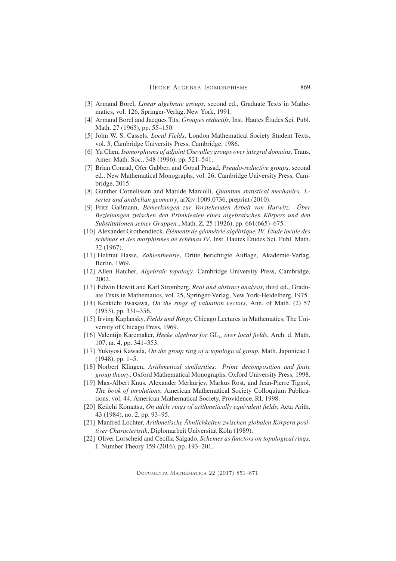- [3] Armand Borel, *Linear algebraic groups*, second ed., Graduate Texts in Mathematics, vol. 126, Springer-Verlag, New York, 1991.
- [4] Armand Borel and Jacques Tits, *Groupes réductifs*, Inst. Hautes Études Sci. Publ. Math. 27 (1965), pp. 55–150.
- [5] John W. S. Cassels, *Local Fields*, London Mathematical Society Student Texts, vol. 3, Cambridge University Press, Cambridge, 1986.
- [6] Yu Chen, *Isomorphisms of adjoint Chevalley groups over integral domains*, Trans. Amer. Math. Soc., 348 (1996), pp. 521–541.
- [7] Brian Conrad, Ofer Gabber, and Gopal Prasad, *Pseudo-reductive groups*, second ed., New Mathematical Monographs, vol. 26, Cambridge University Press, Cambridge, 2015.
- [8] Gunther Cornelissen and Matilde Marcolli, *Quantum statistical mechanics,* L*series and anabelian geometry*, arXiv:1009.0736, preprint (2010).
- [9] Fritz Gaßmann, *Bemerkungen zur Vorstehenden Arbeit von Hurwitz: Über Beziehungen zwischen den Primidealen eines algebraischen Körpers und den Substitutionen seiner Gruppen.*, Math. Z. 25 (1926), pp. 661(665)–675.
- [10] Alexander Grothendieck, *Éléments de géométrie algébrique. IV. Étude locale des schémas et des morphismes de schémas IV*, Inst. Hautes Études Sci. Publ. Math. 32 (1967).
- [11] Helmut Hasse, *Zahlentheorie*, Dritte berichtigte Auflage, Akademie-Verlag, Berlin, 1969.
- [12] Allen Hatcher, *Algebraic topology*, Cambridge University Press, Cambridge, 2002.
- [13] Edwin Hewitt and Karl Stromberg, *Real and abstract analysis*, third ed., Graduate Texts in Mathematics, vol. 25, Springer-Verlag, New York-Heidelberg, 1975.
- [14] Kenkichi Iwasawa, *On the rings of valuation vectors*, Ann. of Math. (2) 57 (1953), pp. 331–356.
- [15] Irving Kaplansky, *Fields and Rings*, Chicago Lectures in Mathematics, The University of Chicago Press, 1969.
- [16] Valentijn Karemaker, *Hecke algebras for*  $GL_n$  *over local fields*, Arch. d. Math. 107, nr. 4, pp. 341–353.
- [17] Yukiyosi Kawada, *On the group ring of a topological group*, Math. Japonicae 1  $(1948)$ , pp. 1–5.
- [18] Norbert Klingen, *Arithmetical similarities: Prime decomposition and finite group theory*, Oxford Mathematical Monographs, Oxford University Press, 1998.
- [19] Max-Albert Knus, Alexander Merkurjev, Markus Rost, and Jean-Pierre Tignol, *The book of involutions*, American Mathematical Society Colloquium Publications, vol. 44, American Mathematical Society, Providence, RI, 1998.
- [20] Keiichi Komatsu, *On adèle rings of arithmetically equivalent fields*, Acta Arith. 43 (1984), no. 2, pp. 93–95.
- [21] Manfred Lochter, *Arithmetische Ähnlichkeiten zwischen globalen Körpern positiver Characteristik*, Diplomarbeit Universität Köln (1989).
- [22] Oliver Lorscheid and Cecília Salgado, *Schemes as functors on topological rings*, J. Number Theory 159 (2016), pp. 193–201.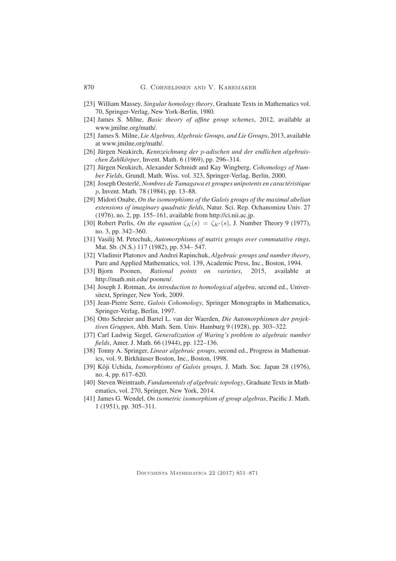- [23] William Massey, *Singular homology theory*, Graduate Texts in Mathematics vol. 70, Springer-Verlag, New York-Berlin, 1980.
- [24] James S. Milne, *Basic theory of affine group schemes*, 2012, available at www.jmilne.org/math/.
- [25] James S. Milne, *Lie Algebras, Algebraic Groups, and Lie Groups*, 2013, available at www.jmilne,org/math/.
- [26] Jürgen Neukirch, *Kennzeichnung der* p*-adischen und der endlichen algebraischen Zahlkörper*, Invent. Math. 6 (1969), pp. 296–314.
- [27] Jürgen Neukirch, Alexander Schmidt and Kay Wingberg, *Cohomology of Number Fields*, Grundl. Math. Wiss. vol. 323, Springer-Verlag, Berlin, 2000.
- [28] Joseph Oesterlé, *Nombres de Tamagawa et groupes unipotents en caractéristique* p, Invent. Math. 78 (1984), pp. 13–88.
- [29] Midori Onabe, *On the isomorphisms of the Galois groups of the maximal abelian extensions of imaginary quadratic fields*, Natur. Sci. Rep. Ochanomizu Univ. 27 (1976), no. 2, pp. 155–161, available from http://ci.nii.ac.jp.
- [30] Robert Perlis, *On the equation*  $\zeta_K(s) = \zeta_{K'}(s)$ , J. Number Theory 9 (1977), no. 3, pp. 342–360.
- [31] Vasilij M. Petechuk, *Automorphisms of matrix groups over commutative rings*, Mat. Sb. (N.S.) 117 (1982), pp. 534– 547.
- [32] Vladimir Platonov and Andrei Rapinchuk, *Algebraic groups and number theory*, Pure and Applied Mathematics, vol. 139, Academic Press, Inc., Boston, 1994.
- [33] Bjorn Poonen, *Rational points on varieties*, 2015, available at http://math.mit.edu/ poonen/.
- [34] Joseph J. Rotman, *An introduction to homological algebra*, second ed., Universitext, Springer, New York, 2009.
- [35] Jean-Pierre Serre, *Galois Cohomology*, Springer Monographs in Mathematics, Springer-Verlag, Berlin, 1997.
- [36] Otto Schreier and Bartel L. van der Waerden, *Die Automorphismen der projektiven Gruppen*, Abh. Math. Sem. Univ. Hamburg 9 (1928), pp. 303–322.
- [37] Carl Ludwig Siegel, *Generalization of Waring's problem to algebraic number fields*, Amer. J. Math. 66 (1944), pp. 122–136.
- [38] Tonny A. Springer, *Linear algebraic groups*, second ed., Progress in Mathematics, vol. 9, Birkhäuser Boston, Inc., Boston, 1998.
- [39] Kôji Uchida, *Isomorphisms of Galois groups*, J. Math. Soc. Japan 28 (1976), no. 4, pp. 617–620.
- [40] Steven Weintraub, *Fundamentals of algebraic topology*, Graduate Texts in Mathematics, vol. 270, Springer, New York, 2014.
- [41] James G. Wendel, *On isometric isomorphism of group algebras*, Pacific J. Math. 1 (1951), pp. 305–311.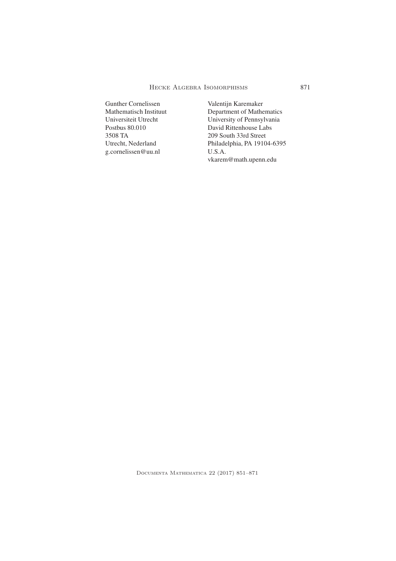Gunther Cornelissen Mathematisch Instituut Universiteit Utrecht Postbus 80.010 3508 TA Utrecht, Nederland g.cornelissen@uu.nl

Valentijn Karemaker Department of Mathematics University of Pennsylvania David Rittenhouse Labs 209 South 33rd Street Philadelphia, PA 19104-6395 U.S.A. vkarem@math.upenn.edu